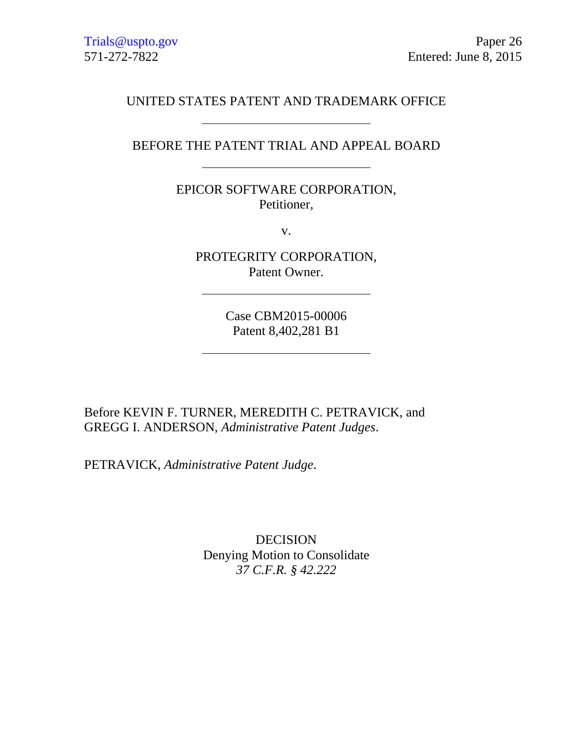Trials@uspto.gov Paper 26 571-272-7822 Entered: June 8, 2015

### UNITED STATES PATENT AND TRADEMARK OFFICE

## BEFORE THE PATENT TRIAL AND APPEAL BOARD

# EPICOR SOFTWARE CORPORATION, Petitioner,

v.

PROTEGRITY CORPORATION, Patent Owner.

> Case CBM2015-00006 Patent 8,402,281 B1

Before KEVIN F. TURNER, MEREDITH C. PETRAVICK, and GREGG I. ANDERSON, *Administrative Patent Judges*.

PETRAVICK, *Administrative Patent Judge*.

DECISION Denying Motion to Consolidate *37 C.F.R. § 42.222*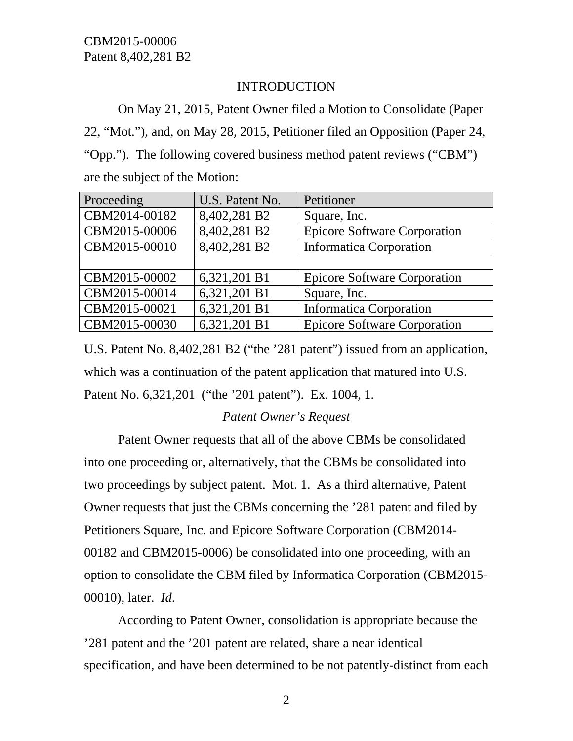# INTRODUCTION

On May 21, 2015, Patent Owner filed a Motion to Consolidate (Paper 22, "Mot."), and, on May 28, 2015, Petitioner filed an Opposition (Paper 24, "Opp."). The following covered business method patent reviews ("CBM") are the subject of the Motion:

| Proceeding    | U.S. Patent No. | Petitioner                          |
|---------------|-----------------|-------------------------------------|
| CBM2014-00182 | 8,402,281 B2    | Square, Inc.                        |
| CBM2015-00006 | 8,402,281 B2    | <b>Epicore Software Corporation</b> |
| CBM2015-00010 | 8,402,281 B2    | <b>Informatica Corporation</b>      |
|               |                 |                                     |
| CBM2015-00002 | 6,321,201 B1    | <b>Epicore Software Corporation</b> |
| CBM2015-00014 | 6,321,201 B1    | Square, Inc.                        |
| CBM2015-00021 | 6,321,201 B1    | <b>Informatica Corporation</b>      |
| CBM2015-00030 | 6,321,201 B1    | <b>Epicore Software Corporation</b> |

U.S. Patent No. 8,402,281 B2 ("the '281 patent") issued from an application, which was a continuation of the patent application that matured into U.S. Patent No. 6,321,201 ("the '201 patent"). Ex. 1004, 1.

# *Patent Owner's Request*

Patent Owner requests that all of the above CBMs be consolidated into one proceeding or, alternatively, that the CBMs be consolidated into two proceedings by subject patent. Mot. 1. As a third alternative, Patent Owner requests that just the CBMs concerning the '281 patent and filed by Petitioners Square, Inc. and Epicore Software Corporation (CBM2014- 00182 and CBM2015-0006) be consolidated into one proceeding, with an option to consolidate the CBM filed by Informatica Corporation (CBM2015- 00010), later. *Id*.

According to Patent Owner, consolidation is appropriate because the '281 patent and the '201 patent are related, share a near identical specification, and have been determined to be not patently-distinct from each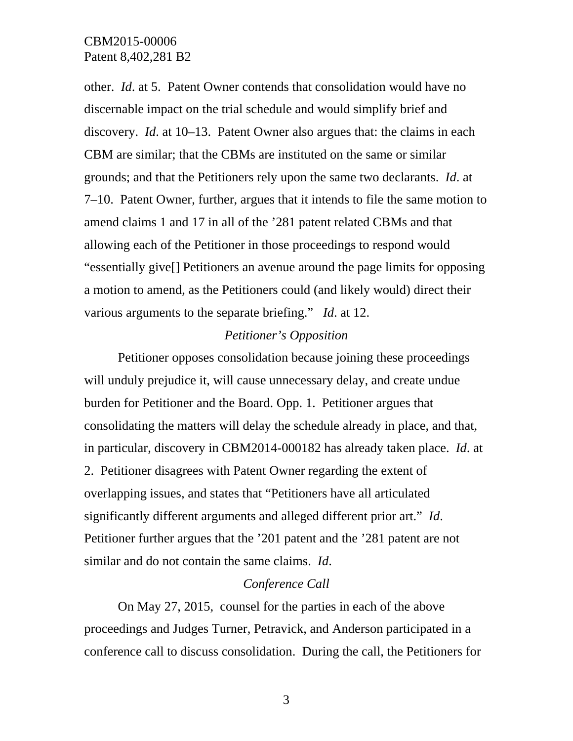other. *Id*. at 5. Patent Owner contends that consolidation would have no discernable impact on the trial schedule and would simplify brief and discovery. *Id*. at 10–13. Patent Owner also argues that: the claims in each CBM are similar; that the CBMs are instituted on the same or similar grounds; and that the Petitioners rely upon the same two declarants. *Id*. at 7–10. Patent Owner, further, argues that it intends to file the same motion to amend claims 1 and 17 in all of the '281 patent related CBMs and that allowing each of the Petitioner in those proceedings to respond would "essentially give[] Petitioners an avenue around the page limits for opposing a motion to amend, as the Petitioners could (and likely would) direct their various arguments to the separate briefing." *Id*. at 12.

### *Petitioner's Opposition*

Petitioner opposes consolidation because joining these proceedings will unduly prejudice it, will cause unnecessary delay, and create undue burden for Petitioner and the Board. Opp. 1. Petitioner argues that consolidating the matters will delay the schedule already in place, and that, in particular, discovery in CBM2014-000182 has already taken place. *Id*. at 2. Petitioner disagrees with Patent Owner regarding the extent of overlapping issues, and states that "Petitioners have all articulated significantly different arguments and alleged different prior art." *Id*. Petitioner further argues that the '201 patent and the '281 patent are not similar and do not contain the same claims. *Id*.

#### *Conference Call*

On May 27, 2015, counsel for the parties in each of the above proceedings and Judges Turner, Petravick, and Anderson participated in a conference call to discuss consolidation. During the call, the Petitioners for

3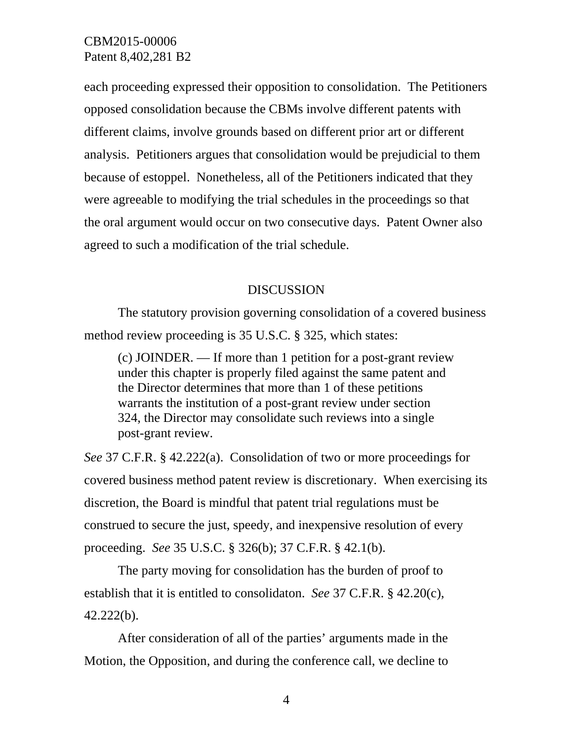each proceeding expressed their opposition to consolidation. The Petitioners opposed consolidation because the CBMs involve different patents with different claims, involve grounds based on different prior art or different analysis. Petitioners argues that consolidation would be prejudicial to them because of estoppel. Nonetheless, all of the Petitioners indicated that they were agreeable to modifying the trial schedules in the proceedings so that the oral argument would occur on two consecutive days. Patent Owner also agreed to such a modification of the trial schedule.

#### **DISCUSSION**

The statutory provision governing consolidation of a covered business method review proceeding is 35 U.S.C. § 325, which states:

(c) JOINDER. — If more than 1 petition for a post-grant review under this chapter is properly filed against the same patent and the Director determines that more than 1 of these petitions warrants the institution of a post-grant review under section 324, the Director may consolidate such reviews into a single post-grant review.

*See* 37 C.F.R. § 42.222(a). Consolidation of two or more proceedings for covered business method patent review is discretionary. When exercising its discretion, the Board is mindful that patent trial regulations must be construed to secure the just, speedy, and inexpensive resolution of every proceeding. *See* 35 U.S.C. § 326(b); 37 C.F.R. § 42.1(b).

The party moving for consolidation has the burden of proof to establish that it is entitled to consolidaton. *See* 37 C.F.R. § 42.20(c), 42.222(b).

After consideration of all of the parties' arguments made in the Motion, the Opposition, and during the conference call, we decline to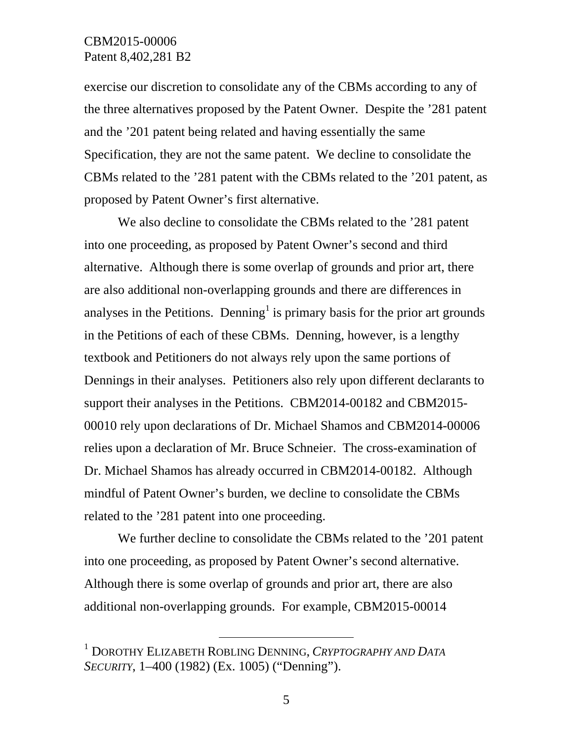exercise our discretion to consolidate any of the CBMs according to any of the three alternatives proposed by the Patent Owner. Despite the '281 patent and the '201 patent being related and having essentially the same Specification, they are not the same patent. We decline to consolidate the CBMs related to the '281 patent with the CBMs related to the '201 patent, as proposed by Patent Owner's first alternative.

 We also decline to consolidate the CBMs related to the '281 patent into one proceeding, as proposed by Patent Owner's second and third alternative. Although there is some overlap of grounds and prior art, there are also additional non-overlapping grounds and there are differences in analyses in the Petitions. Denning<sup>1</sup> is primary basis for the prior art grounds in the Petitions of each of these CBMs. Denning, however, is a lengthy textbook and Petitioners do not always rely upon the same portions of Dennings in their analyses. Petitioners also rely upon different declarants to support their analyses in the Petitions. CBM2014-00182 and CBM2015- 00010 rely upon declarations of Dr. Michael Shamos and CBM2014-00006 relies upon a declaration of Mr. Bruce Schneier. The cross-examination of Dr. Michael Shamos has already occurred in CBM2014-00182. Although mindful of Patent Owner's burden, we decline to consolidate the CBMs related to the '281 patent into one proceeding.

We further decline to consolidate the CBMs related to the '201 patent into one proceeding, as proposed by Patent Owner's second alternative. Although there is some overlap of grounds and prior art, there are also additional non-overlapping grounds. For example, CBM2015-00014

 <sup>1</sup> DOROTHY ELIZABETH ROBLING DENNING, *CRYPTOGRAPHY AND DATA SECURITY*, 1–400 (1982) (Ex. 1005) ("Denning").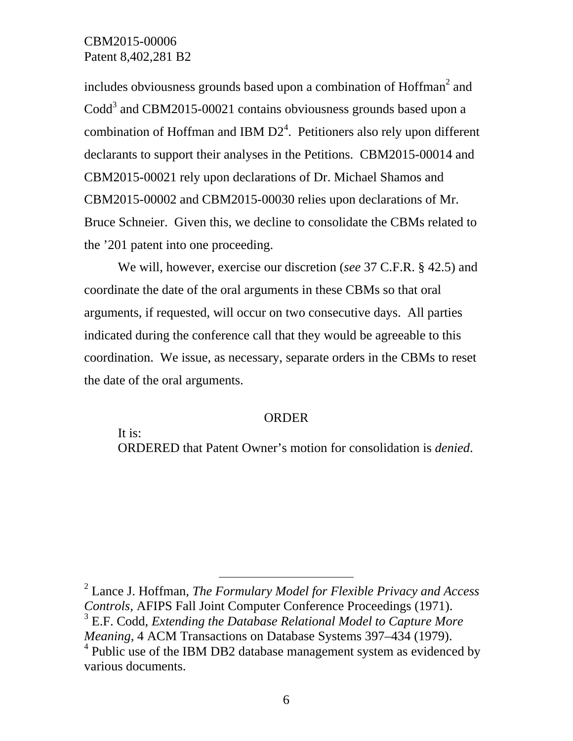includes obviousness grounds based upon a combination of  $H$ offman $^2$  and  $\text{Codd}^3$  and CBM2015-00021 contains obviousness grounds based upon a combination of Hoffman and IBM  $D2<sup>4</sup>$ . Petitioners also rely upon different declarants to support their analyses in the Petitions. CBM2015-00014 and CBM2015-00021 rely upon declarations of Dr. Michael Shamos and CBM2015-00002 and CBM2015-00030 relies upon declarations of Mr. Bruce Schneier. Given this, we decline to consolidate the CBMs related to the '201 patent into one proceeding.

We will, however, exercise our discretion (*see* 37 C.F.R. § 42.5) and coordinate the date of the oral arguments in these CBMs so that oral arguments, if requested, will occur on two consecutive days. All parties indicated during the conference call that they would be agreeable to this coordination. We issue, as necessary, separate orders in the CBMs to reset the date of the oral arguments.

#### ORDER

It is:

ORDERED that Patent Owner's motion for consolidation is *denied*.

 2 Lance J. Hoffman, *The Formulary Model for Flexible Privacy and Access Controls,* AFIPS Fall Joint Computer Conference Proceedings (1971). 3 E.F. Codd, *Extending the Database Relational Model to Capture More Meaning*, 4 ACM Transactions on Database Systems 397–434 (1979).

<sup>4</sup> Public use of the IBM DB2 database management system as evidenced by various documents.